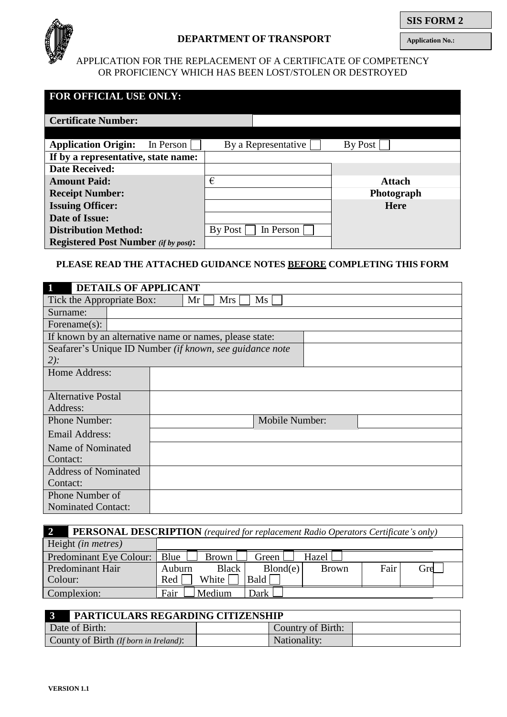

**Application No.:**

# APPLICATION FOR THE REPLACEMENT OF A CERTIFICATE OF COMPETENCY OR PROFICIENCY WHICH HAS BEEN LOST/STOLEN OR DESTROYED

| <b>FOR OFFICIAL USE ONLY:</b>               |         |                     |               |
|---------------------------------------------|---------|---------------------|---------------|
| <b>Certificate Number:</b>                  |         |                     |               |
|                                             |         |                     |               |
| <b>Application Origin:</b><br>In Person     |         | By a Representative | By Post       |
| If by a representative, state name:         |         |                     |               |
| <b>Date Received:</b>                       |         |                     |               |
| <b>Amount Paid:</b>                         | €       |                     | <b>Attach</b> |
| <b>Receipt Number:</b>                      |         |                     | Photograph    |
| <b>Issuing Officer:</b>                     |         |                     | <b>Here</b>   |
| Date of Issue:                              |         |                     |               |
| <b>Distribution Method:</b>                 | By Post | In Person           |               |
| <b>Registered Post Number</b> (if by post): |         |                     |               |

# **PLEASE READ THE ATTACHED GUIDANCE NOTES BEFORE COMPLETING THIS FORM**

| <b>DETAILS OF APPLICANT</b> |                                                                  |  |  |  |  |
|-----------------------------|------------------------------------------------------------------|--|--|--|--|
|                             | Tick the Appropriate Box:<br>Mrs<br>$\overline{\text{Ms}}$<br>Mr |  |  |  |  |
| Surname:                    |                                                                  |  |  |  |  |
| Forename $(s)$ :            |                                                                  |  |  |  |  |
|                             | If known by an alternative name or names, please state:          |  |  |  |  |
|                             | Seafarer's Unique ID Number (if known, see guidance note         |  |  |  |  |
| $2)$ :                      |                                                                  |  |  |  |  |
| Home Address:               |                                                                  |  |  |  |  |
|                             |                                                                  |  |  |  |  |
| <b>Alternative Postal</b>   |                                                                  |  |  |  |  |
| Address:                    |                                                                  |  |  |  |  |
| <b>Phone Number:</b>        | Mobile Number:                                                   |  |  |  |  |
| <b>Email Address:</b>       |                                                                  |  |  |  |  |
| Name of Nominated           |                                                                  |  |  |  |  |
| Contact:                    |                                                                  |  |  |  |  |
| <b>Address of Nominated</b> |                                                                  |  |  |  |  |
| Contact:                    |                                                                  |  |  |  |  |
| Phone Number of             |                                                                  |  |  |  |  |
| <b>Nominated Contact:</b>   |                                                                  |  |  |  |  |

| $\overline{2}$<br>PERSONAL DESCRIPTION (required for replacement Radio Operators Certificate's only) |                   |          |              |      |     |
|------------------------------------------------------------------------------------------------------|-------------------|----------|--------------|------|-----|
| Height <i>(in metres)</i>                                                                            |                   |          |              |      |     |
| Predominant Eye Colour:                                                                              | Blue<br>Brown     | Green 1  | Hazel        |      |     |
| Predominant Hair                                                                                     | Black  <br>Auburn | Blond(e) | <b>Brown</b> | Fair | Gre |
| Colour:                                                                                              | White  <br>Red    | Bald     |              |      |     |
| Complexion:                                                                                          | Fair<br>Medium    | Dark     |              |      |     |

| PARTICULARS REGARDING CITIZENSHIP     |                   |  |
|---------------------------------------|-------------------|--|
| Date of Birth:                        | Country of Birth: |  |
| County of Birth (If born in Ireland): | Nationality:      |  |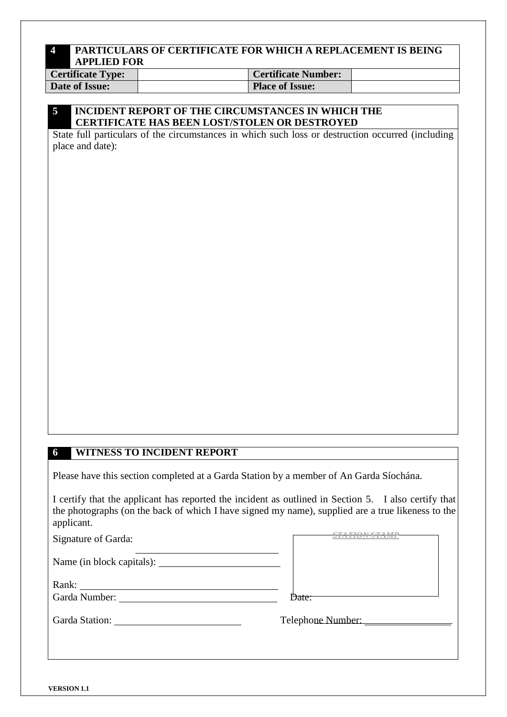# **4 PARTICULARS OF CERTIFICATE FOR WHICH A REPLACEMENT IS BEING APPLIED FOR**

| <b>Certificate Type:</b> | <b>Certificate Number:</b> |  |
|--------------------------|----------------------------|--|
| Date of Issue:           | <b>Place of Issue:</b>     |  |

# **5 INCIDENT REPORT OF THE CIRCUMSTANCES IN WHICH THE CERTIFICATE HAS BEEN LOST/STOLEN OR DESTROYED**

State full particulars of the circumstances in which such loss or destruction occurred (including place and date):

# **6 WITNESS TO INCIDENT REPORT**

Please have this section completed at a Garda Station by a member of An Garda Síochána.

I certify that the applicant has reported the incident as outlined in Section 5. I also certify that the photographs (on the back of which I have signed my name), supplied are a true likeness to the applicant.

| Signature of Garda:                                                                                                                                                                                                            |                   |
|--------------------------------------------------------------------------------------------------------------------------------------------------------------------------------------------------------------------------------|-------------------|
|                                                                                                                                                                                                                                |                   |
| Rank:                                                                                                                                                                                                                          |                   |
| Garda Number: Van American State State State State State State State State State State State State State State State State State State State State State State State State State State State State State State State State Sta | Date:             |
| Garda Station:                                                                                                                                                                                                                 | Telephone Number: |
|                                                                                                                                                                                                                                |                   |
|                                                                                                                                                                                                                                |                   |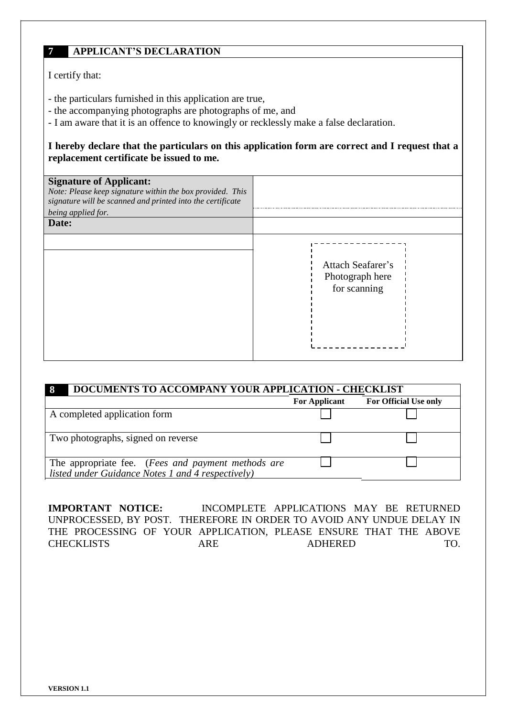# **7 APPLICANT'S DECLARATION**

I certify that:

- the particulars furnished in this application are true,
- the accompanying photographs are photographs of me, and
- I am aware that it is an offence to knowingly or recklessly make a false declaration.

**I hereby declare that the particulars on this application form are correct and I request that a replacement certificate be issued to me.**

| <b>Signature of Applicant:</b><br>Note: Please keep signature within the box provided. This<br>signature will be scanned and printed into the certificate<br>being applied for.<br>Date: |                                                      |
|------------------------------------------------------------------------------------------------------------------------------------------------------------------------------------------|------------------------------------------------------|
|                                                                                                                                                                                          | Attach Seafarer's<br>Photograph here<br>for scanning |

| DOCUMENTS TO ACCOMPANY YOUR APPLICATION - CHECKLIST<br>-8                                               |                      |                       |  |  |  |
|---------------------------------------------------------------------------------------------------------|----------------------|-----------------------|--|--|--|
|                                                                                                         | <b>For Applicant</b> | For Official Use only |  |  |  |
| A completed application form                                                                            |                      |                       |  |  |  |
| Two photographs, signed on reverse                                                                      |                      |                       |  |  |  |
| The appropriate fee. (Fees and payment methods are<br>listed under Guidance Notes 1 and 4 respectively) |                      |                       |  |  |  |

**IMPORTANT NOTICE:** INCOMPLETE APPLICATIONS MAY BE RETURNED UNPROCESSED, BY POST. THEREFORE IN ORDER TO AVOID ANY UNDUE DELAY IN THE PROCESSING OF YOUR APPLICATION, PLEASE ENSURE THAT THE ABOVE CHECKLISTS ARE ADHERED TO.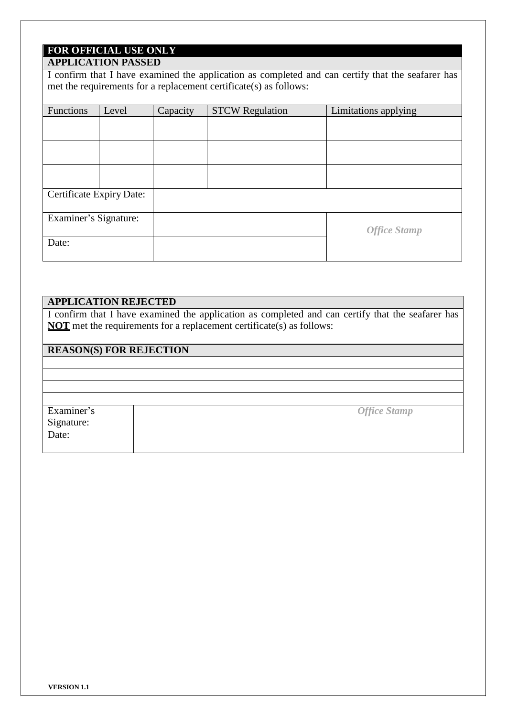# **FOR OFFICIAL USE ONLY**

# **APPLICATION PASSED**

I confirm that I have examined the application as completed and can certify that the seafarer has met the requirements for a replacement certificate(s) as follows:

| Functions                | Level | Capacity | <b>STCW Regulation</b> | Limitations applying |
|--------------------------|-------|----------|------------------------|----------------------|
|                          |       |          |                        |                      |
|                          |       |          |                        |                      |
|                          |       |          |                        |                      |
|                          |       |          |                        |                      |
| Certificate Expiry Date: |       |          |                        |                      |
| Examiner's Signature:    |       |          |                        | <b>Office Stamp</b>  |
| Date:                    |       |          |                        |                      |

# **APPLICATION REJECTED**

I confirm that I have examined the application as completed and can certify that the seafarer has **NOT** met the requirements for a replacement certificate(s) as follows:

# **REASON(S) FOR REJECTION**

| Examiner's | <b>Office Stamp</b> |
|------------|---------------------|
| Signature: |                     |
| Date:      |                     |
|            |                     |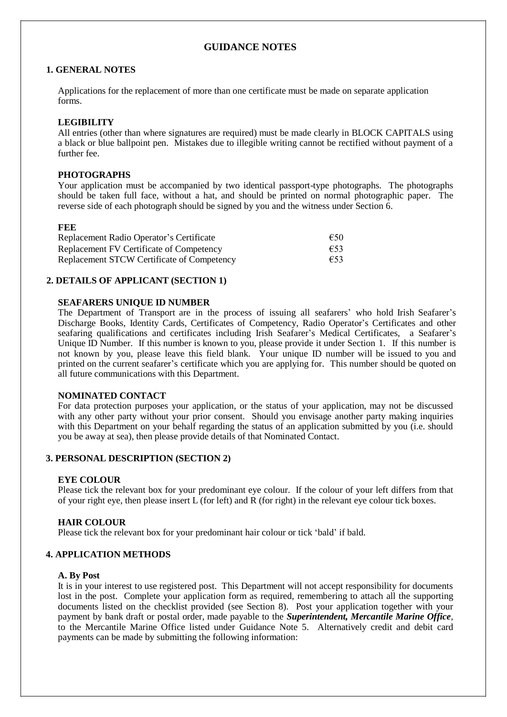# **GUIDANCE NOTES**

#### **1. GENERAL NOTES**

Applications for the replacement of more than one certificate must be made on separate application forms.

#### **LEGIBILITY**

All entries (other than where signatures are required) must be made clearly in BLOCK CAPITALS using a black or blue ballpoint pen. Mistakes due to illegible writing cannot be rectified without payment of a further fee.

#### **PHOTOGRAPHS**

Your application must be accompanied by two identical passport-type photographs. The photographs should be taken full face, without a hat, and should be printed on normal photographic paper. The reverse side of each photograph should be signed by you and the witness under Section 6.

#### **FEE**

Replacement Radio Operator's Certificate €50 Replacement FV Certificate of Competency €53<br>Replacement STCW Certificate of Competency €53 Replacement STCW Certificate of Competency

#### **2. DETAILS OF APPLICANT (SECTION 1)**

#### **SEAFARERS UNIQUE ID NUMBER**

The Department of Transport are in the process of issuing all seafarers' who hold Irish Seafarer's Discharge Books, Identity Cards, Certificates of Competency, Radio Operator's Certificates and other seafaring qualifications and certificates including Irish Seafarer's Medical Certificates, a Seafarer's Unique ID Number. If this number is known to you, please provide it under Section 1. If this number is not known by you, please leave this field blank. Your unique ID number will be issued to you and printed on the current seafarer's certificate which you are applying for. This number should be quoted on all future communications with this Department.

#### **NOMINATED CONTACT**

For data protection purposes your application, or the status of your application, may not be discussed with any other party without your prior consent. Should you envisage another party making inquiries with this Department on your behalf regarding the status of an application submitted by you (i.e. should you be away at sea), then please provide details of that Nominated Contact.

#### **3. PERSONAL DESCRIPTION (SECTION 2)**

#### **EYE COLOUR**

Please tick the relevant box for your predominant eye colour. If the colour of your left differs from that of your right eye, then please insert L (for left) and R (for right) in the relevant eye colour tick boxes.

#### **HAIR COLOUR**

Please tick the relevant box for your predominant hair colour or tick 'bald' if bald.

#### **4. APPLICATION METHODS**

#### **A. By Post**

It is in your interest to use registered post. This Department will not accept responsibility for documents lost in the post. Complete your application form as required, remembering to attach all the supporting documents listed on the checklist provided (see Section 8). Post your application together with your payment by bank draft or postal order, made payable to the *Superintendent, Mercantile Marine Office*, to the Mercantile Marine Office listed under Guidance Note 5. Alternatively credit and debit card payments can be made by submitting the following information: